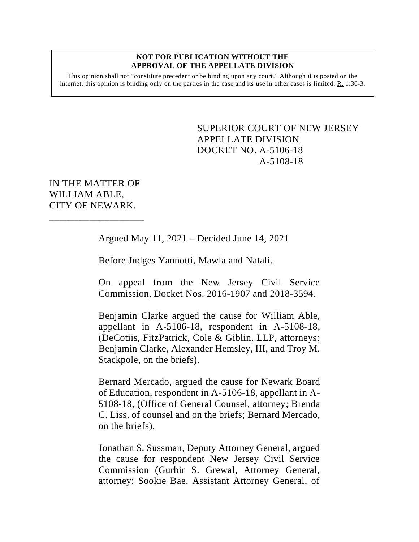#### **NOT FOR PUBLICATION WITHOUT THE APPROVAL OF THE APPELLATE DIVISION**

This opinion shall not "constitute precedent or be binding upon any court." Although it is posted on the internet, this opinion is binding only on the parties in the case and its use in other cases is limited.  $R_1$  1:36-3.

> <span id="page-0-0"></span>SUPERIOR COURT OF NEW JERSEY APPELLATE DIVISION DOCKET NO. A-5106-18 A-5108-18

IN THE MATTER OF WILLIAM ABLE, CITY OF NEWARK.

\_\_\_\_\_\_\_\_\_\_\_\_\_\_\_\_\_\_\_

Argued May 11, 2021 – Decided June 14, 2021

Before Judges Yannotti, Mawla and Natali.

On appeal from the New Jersey Civil Service Commission, Docket Nos. 2016-1907 and 2018-3594.

Benjamin Clarke argued the cause for William Able, appellant in A-5106-18, respondent in A-5108-18, (DeCotiis, FitzPatrick, Cole & Giblin, LLP, attorneys; Benjamin Clarke, Alexander Hemsley, III, and Troy M. Stackpole, on the briefs).

Bernard Mercado, argued the cause for Newark Board of Education, respondent in A-5106-18, appellant in A-5108-18, (Office of General Counsel, attorney; Brenda C. Liss, of counsel and on the briefs; Bernard Mercado, on the briefs).

Jonathan S. Sussman, Deputy Attorney General, argued the cause for respondent New Jersey Civil Service Commission (Gurbir S. Grewal, Attorney General, attorney; Sookie Bae, Assistant Attorney General, of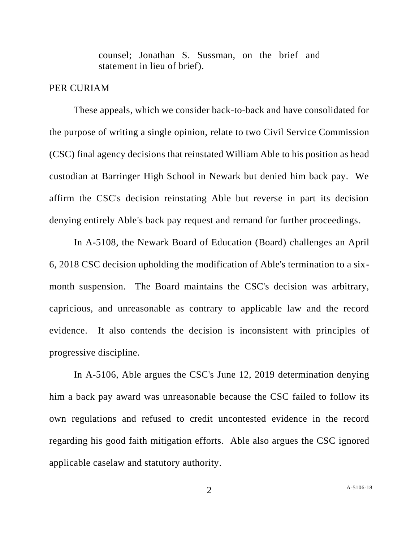counsel; Jonathan S. Sussman, on the brief and statement in lieu of brief).

## PER CURIAM

These appeals, which we consider back-to-back and have consolidated for the purpose of writing a single opinion, relate to two Civil Service Commission (CSC) final agency decisions that reinstated William Able to his position as head custodian at Barringer High School in Newark but denied him back pay. We affirm the CSC's decision reinstating Able but reverse in part its decision denying entirely Able's back pay request and remand for further proceedings.

In A-5108, the Newark Board of Education (Board) challenges an April 6, 2018 CSC decision upholding the modification of Able's termination to a sixmonth suspension. The Board maintains the CSC's decision was arbitrary, capricious, and unreasonable as contrary to applicable law and the record evidence. It also contends the decision is inconsistent with principles of progressive discipline.

In A-5106, Able argues the CSC's June 12, 2019 determination denying him a back pay award was unreasonable because the CSC failed to follow its own regulations and refused to credit uncontested evidence in the record regarding his good faith mitigation efforts. Able also argues the CSC ignored applicable caselaw and statutory authority.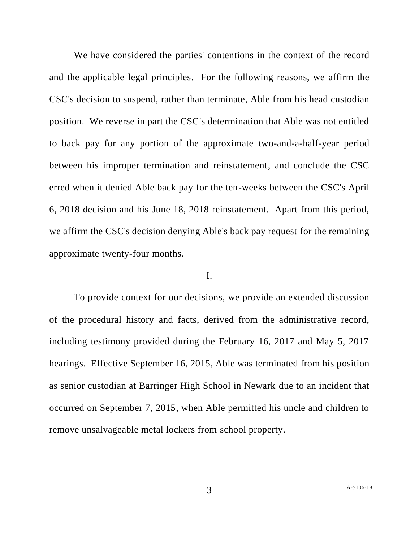We have considered the parties' contentions in the context of the record and the applicable legal principles. For the following reasons, we affirm the CSC's decision to suspend, rather than terminate, Able from his head custodian position. We reverse in part the CSC's determination that Able was not entitled to back pay for any portion of the approximate two-and-a-half-year period between his improper termination and reinstatement, and conclude the CSC erred when it denied Able back pay for the ten-weeks between the CSC's April 6, 2018 decision and his June 18, 2018 reinstatement. Apart from this period, we affirm the CSC's decision denying Able's back pay request for the remaining approximate twenty-four months.

# I.

To provide context for our decisions, we provide an extended discussion of the procedural history and facts, derived from the administrative record, including testimony provided during the February 16, 2017 and May 5, 2017 hearings. Effective September 16, 2015, Able was terminated from his position as senior custodian at Barringer High School in Newark due to an incident that occurred on September 7, 2015, when Able permitted his uncle and children to remove unsalvageable metal lockers from school property.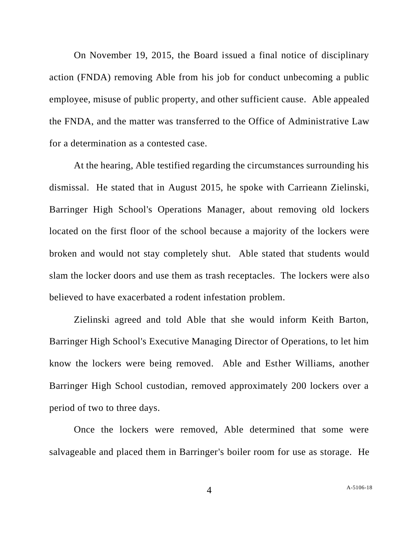On November 19, 2015, the Board issued a final notice of disciplinary action (FNDA) removing Able from his job for conduct unbecoming a public employee, misuse of public property, and other sufficient cause. Able appealed the FNDA, and the matter was transferred to the Office of Administrative Law for a determination as a contested case.

At the hearing, Able testified regarding the circumstances surrounding his dismissal. He stated that in August 2015, he spoke with Carrieann Zielinski, Barringer High School's Operations Manager, about removing old lockers located on the first floor of the school because a majority of the lockers were broken and would not stay completely shut. Able stated that students would slam the locker doors and use them as trash receptacles. The lockers were also believed to have exacerbated a rodent infestation problem.

Zielinski agreed and told Able that she would inform Keith Barton, Barringer High School's Executive Managing Director of Operations, to let him know the lockers were being removed. Able and Esther Williams, another Barringer High School custodian, removed approximately 200 lockers over a period of two to three days.

Once the lockers were removed, Able determined that some were salvageable and placed them in Barringer's boiler room for use as storage. He

4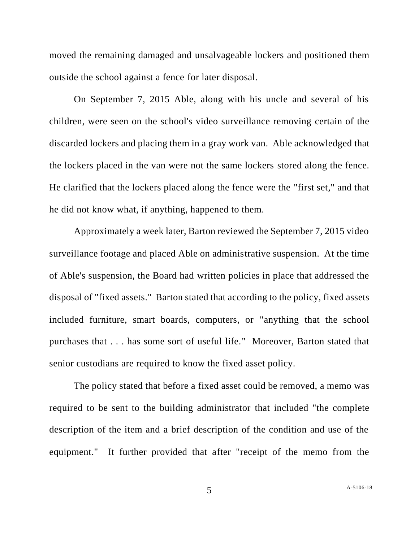moved the remaining damaged and unsalvageable lockers and positioned them outside the school against a fence for later disposal.

On September 7, 2015 Able, along with his uncle and several of his children, were seen on the school's video surveillance removing certain of the discarded lockers and placing them in a gray work van. Able acknowledged that the lockers placed in the van were not the same lockers stored along the fence. He clarified that the lockers placed along the fence were the "first set," and that he did not know what, if anything, happened to them.

Approximately a week later, Barton reviewed the September 7, 2015 video surveillance footage and placed Able on administrative suspension. At the time of Able's suspension, the Board had written policies in place that addressed the disposal of "fixed assets." Barton stated that according to the policy, fixed assets included furniture, smart boards, computers, or "anything that the school purchases that . . . has some sort of useful life." Moreover, Barton stated that senior custodians are required to know the fixed asset policy.

The policy stated that before a fixed asset could be removed, a memo was required to be sent to the building administrator that included "the complete description of the item and a brief description of the condition and use of the equipment." It further provided that after "receipt of the memo from the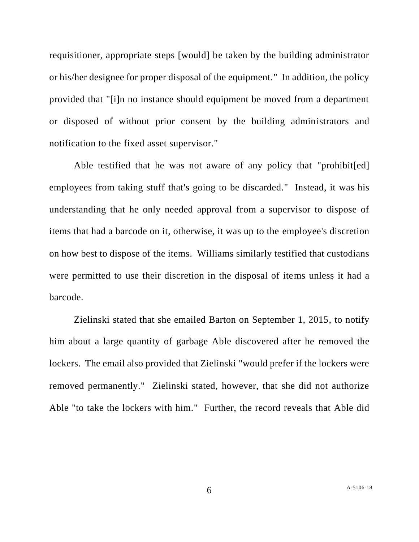requisitioner, appropriate steps [would] be taken by the building administrator or his/her designee for proper disposal of the equipment." In addition, the policy provided that "[i]n no instance should equipment be moved from a department or disposed of without prior consent by the building administrators and notification to the fixed asset supervisor."

Able testified that he was not aware of any policy that "prohibit[ed] employees from taking stuff that's going to be discarded." Instead, it was his understanding that he only needed approval from a supervisor to dispose of items that had a barcode on it, otherwise, it was up to the employee's discretion on how best to dispose of the items. Williams similarly testified that custodians were permitted to use their discretion in the disposal of items unless it had a barcode.

Zielinski stated that she emailed Barton on September 1, 2015, to notify him about a large quantity of garbage Able discovered after he removed the lockers. The email also provided that Zielinski "would prefer if the lockers were removed permanently." Zielinski stated, however, that she did not authorize Able "to take the lockers with him." Further, the record reveals that Able did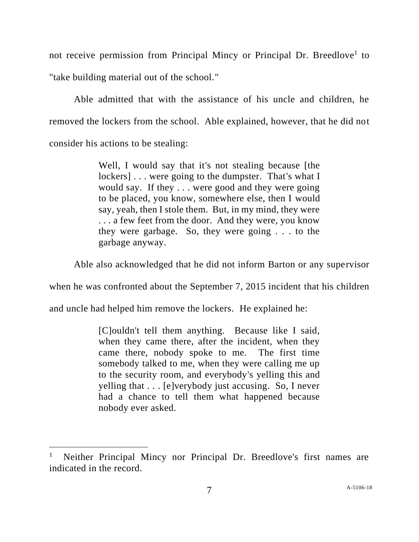not receive permission from Principal Mincy or Principal Dr. Breedlove<sup>1</sup> to "take building material out of the school."

Able admitted that with the assistance of his uncle and children, he removed the lockers from the school. Able explained, however, that he did not consider his actions to be stealing:

> Well, I would say that it's not stealing because [the lockers]... were going to the dumpster. That's what I would say. If they . . . were good and they were going to be placed, you know, somewhere else, then I would say, yeah, then I stole them. But, in my mind, they were . . . a few feet from the door. And they were, you know they were garbage. So, they were going . . . to the garbage anyway.

Able also acknowledged that he did not inform Barton or any supervisor

when he was confronted about the September 7, 2015 incident that his children

and uncle had helped him remove the lockers. He explained he:

[C]ouldn't tell them anything. Because like I said, when they came there, after the incident, when they came there, nobody spoke to me. The first time somebody talked to me, when they were calling me up to the security room, and everybody's yelling this and yelling that . . . [e]verybody just accusing. So, I never had a chance to tell them what happened because nobody ever asked.

<sup>1</sup> Neither Principal Mincy nor Principal Dr. Breedlove's first names are indicated in the record.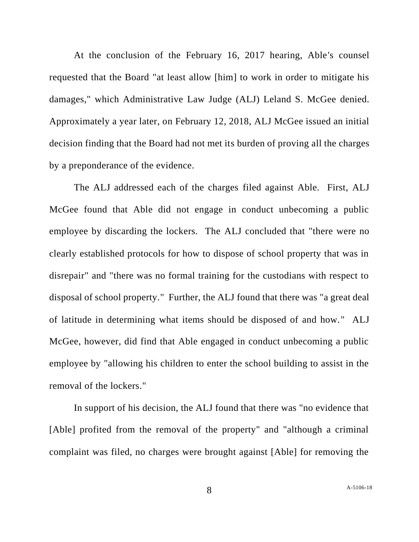At the conclusion of the February 16, 2017 hearing, Able's counsel requested that the Board "at least allow [him] to work in order to mitigate his damages," which Administrative Law Judge (ALJ) Leland S. McGee denied. Approximately a year later, on February 12, 2018, ALJ McGee issued an initial decision finding that the Board had not met its burden of proving all the charges by a preponderance of the evidence.

The ALJ addressed each of the charges filed against Able. First, ALJ McGee found that Able did not engage in conduct unbecoming a public employee by discarding the lockers. The ALJ concluded that "there were no clearly established protocols for how to dispose of school property that was in disrepair" and "there was no formal training for the custodians with respect to disposal of school property." Further, the ALJ found that there was "a great deal of latitude in determining what items should be disposed of and how." ALJ McGee, however, did find that Able engaged in conduct unbecoming a public employee by "allowing his children to enter the school building to assist in the removal of the lockers."

In support of his decision, the ALJ found that there was "no evidence that [Able] profited from the removal of the property" and "although a criminal complaint was filed, no charges were brought against [Able] for removing the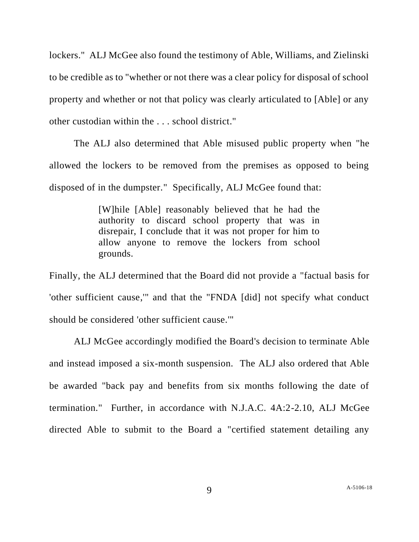lockers." ALJ McGee also found the testimony of Able, Williams, and Zielinski to be credible as to "whether or not there was a clear policy for disposal of school property and whether or not that policy was clearly articulated to [Able] or any other custodian within the . . . school district."

The ALJ also determined that Able misused public property when "he allowed the lockers to be removed from the premises as opposed to being disposed of in the dumpster." Specifically, ALJ McGee found that:

> [W]hile [Able] reasonably believed that he had the authority to discard school property that was in disrepair, I conclude that it was not proper for him to allow anyone to remove the lockers from school grounds.

Finally, the ALJ determined that the Board did not provide a "factual basis for 'other sufficient cause,'" and that the "FNDA [did] not specify what conduct should be considered 'other sufficient cause.'"

ALJ McGee accordingly modified the Board's decision to terminate Able and instead imposed a six-month suspension. The ALJ also ordered that Able be awarded "back pay and benefits from six months following the date of termination." Further, in accordance with N.J.A.C. 4A:2-2.10, ALJ McGee directed Able to submit to the Board a "certified statement detailing any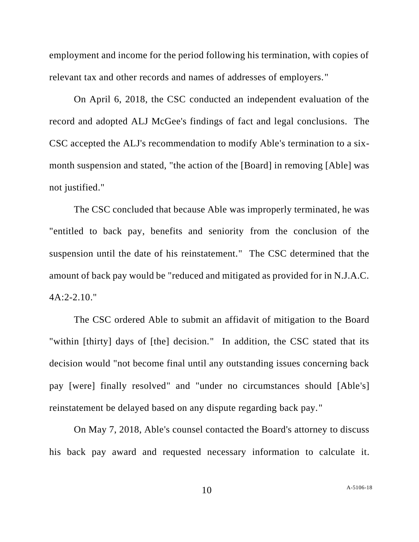employment and income for the period following his termination, with copies of relevant tax and other records and names of addresses of employers."

On April 6, 2018, the CSC conducted an independent evaluation of the record and adopted ALJ McGee's findings of fact and legal conclusions. The CSC accepted the ALJ's recommendation to modify Able's termination to a sixmonth suspension and stated, "the action of the [Board] in removing [Able] was not justified."

The CSC concluded that because Able was improperly terminated, he was "entitled to back pay, benefits and seniority from the conclusion of the suspension until the date of his reinstatement." The CSC determined that the amount of back pay would be "reduced and mitigated as provided for in N.J.A.C. 4A:2-2.10."

The CSC ordered Able to submit an affidavit of mitigation to the Board "within [thirty] days of [the] decision." In addition, the CSC stated that its decision would "not become final until any outstanding issues concerning back pay [were] finally resolved" and "under no circumstances should [Able's] reinstatement be delayed based on any dispute regarding back pay."

On May 7, 2018, Able's counsel contacted the Board's attorney to discuss his back pay award and requested necessary information to calculate it.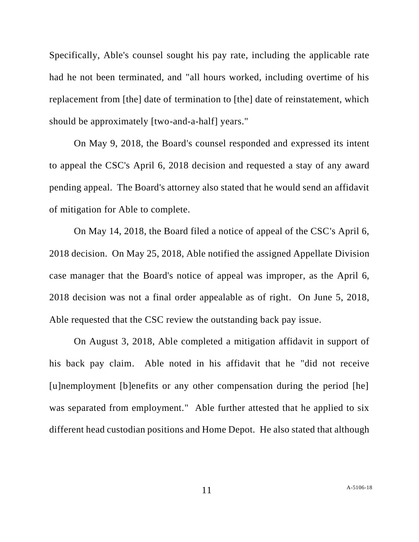Specifically, Able's counsel sought his pay rate, including the applicable rate had he not been terminated, and "all hours worked, including overtime of his replacement from [the] date of termination to [the] date of reinstatement, which should be approximately [two-and-a-half] years."

On May 9, 2018, the Board's counsel responded and expressed its intent to appeal the CSC's April 6, 2018 decision and requested a stay of any award pending appeal. The Board's attorney also stated that he would send an affidavit of mitigation for Able to complete.

On May 14, 2018, the Board filed a notice of appeal of the CSC's April 6, 2018 decision. On May 25, 2018, Able notified the assigned Appellate Division case manager that the Board's notice of appeal was improper, as the April 6, 2018 decision was not a final order appealable as of right. On June 5, 2018, Able requested that the CSC review the outstanding back pay issue.

On August 3, 2018, Able completed a mitigation affidavit in support of his back pay claim. Able noted in his affidavit that he "did not receive [u]nemployment [b]enefits or any other compensation during the period [he] was separated from employment." Able further attested that he applied to six different head custodian positions and Home Depot. He also stated that although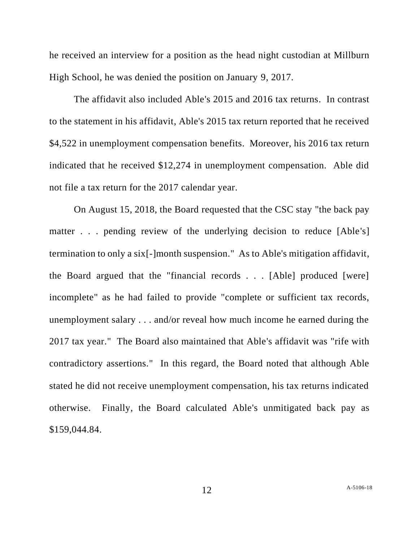he received an interview for a position as the head night custodian at Millburn High School, he was denied the position on January 9, 2017.

The affidavit also included Able's 2015 and 2016 tax returns. In contrast to the statement in his affidavit, Able's 2015 tax return reported that he received \$4,522 in unemployment compensation benefits. Moreover, his 2016 tax return indicated that he received \$12,274 in unemployment compensation. Able did not file a tax return for the 2017 calendar year.

On August 15, 2018, the Board requested that the CSC stay "the back pay matter . . . pending review of the underlying decision to reduce [Able's] termination to only a six[-]month suspension." As to Able's mitigation affidavit, the Board argued that the "financial records . . . [Able] produced [were] incomplete" as he had failed to provide "complete or sufficient tax records, unemployment salary . . . and/or reveal how much income he earned during the 2017 tax year." The Board also maintained that Able's affidavit was "rife with contradictory assertions." In this regard, the Board noted that although Able stated he did not receive unemployment compensation, his tax returns indicated otherwise. Finally, the Board calculated Able's unmitigated back pay as \$159,044.84.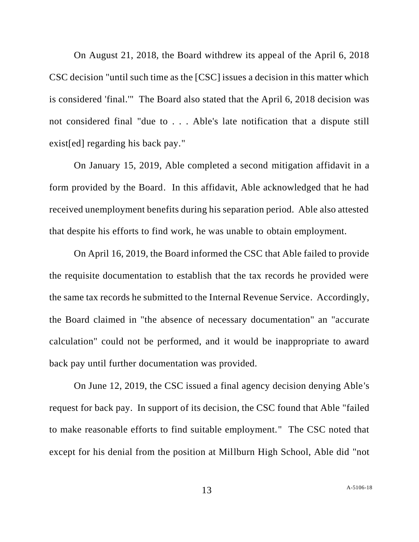On August 21, 2018, the Board withdrew its appeal of the April 6, 2018 CSC decision "until such time as the [CSC] issues a decision in this matter which is considered 'final.'" The Board also stated that the April 6, 2018 decision was not considered final "due to . . . Able's late notification that a dispute still exist[ed] regarding his back pay."

On January 15, 2019, Able completed a second mitigation affidavit in a form provided by the Board. In this affidavit, Able acknowledged that he had received unemployment benefits during his separation period. Able also attested that despite his efforts to find work, he was unable to obtain employment.

On April 16, 2019, the Board informed the CSC that Able failed to provide the requisite documentation to establish that the tax records he provided were the same tax records he submitted to the Internal Revenue Service. Accordingly, the Board claimed in "the absence of necessary documentation" an "accurate calculation" could not be performed, and it would be inappropriate to award back pay until further documentation was provided.

On June 12, 2019, the CSC issued a final agency decision denying Able's request for back pay. In support of its decision, the CSC found that Able "failed to make reasonable efforts to find suitable employment." The CSC noted that except for his denial from the position at Millburn High School, Able did "not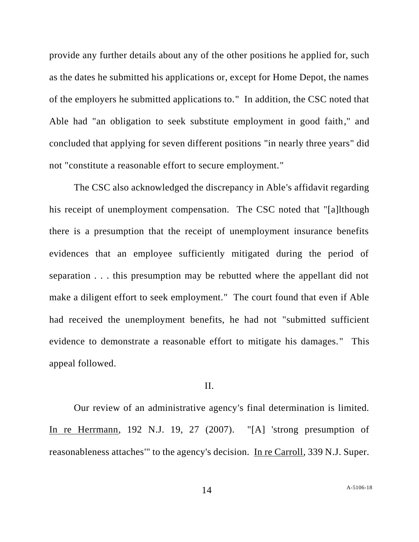provide any further details about any of the other positions he applied for, such as the dates he submitted his applications or, except for Home Depot, the names of the employers he submitted applications to." In addition, the CSC noted that Able had "an obligation to seek substitute employment in good faith," and concluded that applying for seven different positions "in nearly three years" did not "constitute a reasonable effort to secure employment."

The CSC also acknowledged the discrepancy in Able's affidavit regarding his receipt of unemployment compensation. The CSC noted that "[a]lthough there is a presumption that the receipt of unemployment insurance benefits evidences that an employee sufficiently mitigated during the period of separation . . . this presumption may be rebutted where the appellant did not make a diligent effort to seek employment." The court found that even if Able had received the unemployment benefits, he had not "submitted sufficient evidence to demonstrate a reasonable effort to mitigate his damages." This appeal followed.

## II.

Our review of an administrative agency's final determination is limited. In re Herrmann, 192 N.J. 19, 27 (2007). "[A] 'strong presumption of reasonableness attaches'" to the agency's decision. In re Carroll, 339 N.J. Super.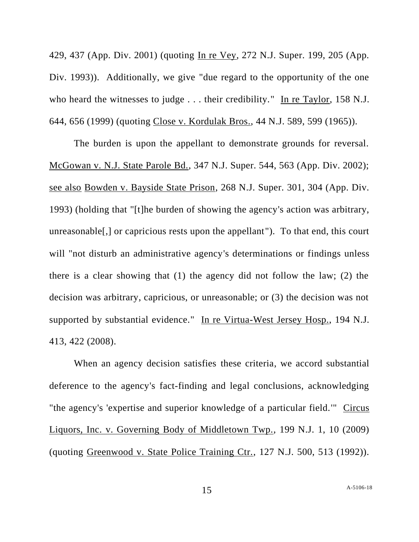429, 437 (App. Div. 2001) (quoting In re Vey, 272 N.J. Super. 199, 205 (App. Div. 1993)). Additionally, we give "due regard to the opportunity of the one who heard the witnesses to judge . . . their credibility." In re Taylor, 158 N.J. 644, 656 (1999) (quoting Close v. Kordulak Bros., 44 N.J. 589, 599 (1965)).

The burden is upon the appellant to demonstrate grounds for reversal. McGowan v. N.J. State Parole Bd., 347 N.J. Super. 544, 563 (App. Div. 2002); see also Bowden v. Bayside State Prison, 268 N.J. Super. 301, 304 (App. Div. 1993) (holding that "[t]he burden of showing the agency's action was arbitrary, unreasonable[,] or capricious rests upon the appellant"). To that end, this court will "not disturb an administrative agency's determinations or findings unless there is a clear showing that (1) the agency did not follow the law; (2) the decision was arbitrary, capricious, or unreasonable; or (3) the decision was not supported by substantial evidence." In re Virtua-West Jersey Hosp., 194 N.J. 413, 422 (2008).

When an agency decision satisfies these criteria, we accord substantial deference to the agency's fact-finding and legal conclusions, acknowledging "the agency's 'expertise and superior knowledge of a particular field.'" Circus Liquors, Inc. v. Governing Body of Middletown Twp., 199 N.J. 1, 10 (2009) (quoting Greenwood v. State Police Training Ctr., 127 N.J. 500, 513 (1992)).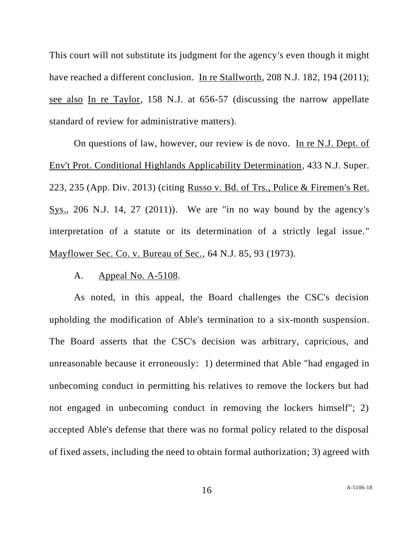This court will not substitute its judgment for the agency's even though it might have reached a different conclusion. In re Stallworth, 208 N.J. 182, 194 (2011); see also In re Taylor, 158 N.J. at 656-57 (discussing the narrow appellate standard of review for administrative matters).

On questions of law, however, our review is de novo. In re N.J. Dept. of Env't Prot. Conditional Highlands Applicability Determination, 433 N.J. Super. 223, 235 (App. Div. 2013) (citing Russo v. Bd. of Trs., Police & Firemen's Ret. Sys., 206 N.J. 14, 27 (2011)). We are "in no way bound by the agency's interpretation of a statute or its determination of a strictly legal issue." Mayflower Sec. Co. v. Bureau of Sec., 64 N.J. 85, 93 (1973).

### A. Appeal No. A-5108.

As noted, in this appeal, the Board challenges the CSC's decision upholding the modification of Able's termination to a six-month suspension. The Board asserts that the CSC's decision was arbitrary, capricious, and unreasonable because it erroneously: 1) determined that Able "had engaged in unbecoming conduct in permitting his relatives to remove the lockers but had not engaged in unbecoming conduct in removing the lockers himself"; 2) accepted Able's defense that there was no formal policy related to the disposal of fixed assets, including the need to obtain formal authorization; 3) agreed with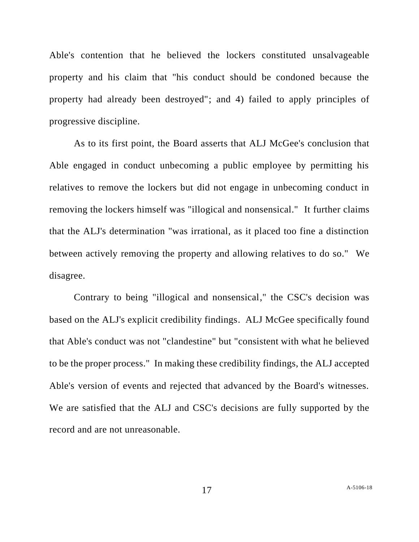Able's contention that he believed the lockers constituted unsalvageable property and his claim that "his conduct should be condoned because the property had already been destroyed"; and 4) failed to apply principles of progressive discipline.

As to its first point, the Board asserts that ALJ McGee's conclusion that Able engaged in conduct unbecoming a public employee by permitting his relatives to remove the lockers but did not engage in unbecoming conduct in removing the lockers himself was "illogical and nonsensical." It further claims that the ALJ's determination "was irrational, as it placed too fine a distinction between actively removing the property and allowing relatives to do so." We disagree.

Contrary to being "illogical and nonsensical," the CSC's decision was based on the ALJ's explicit credibility findings. ALJ McGee specifically found that Able's conduct was not "clandestine" but "consistent with what he believed to be the proper process." In making these credibility findings, the ALJ accepted Able's version of events and rejected that advanced by the Board's witnesses. We are satisfied that the ALJ and CSC's decisions are fully supported by the record and are not unreasonable.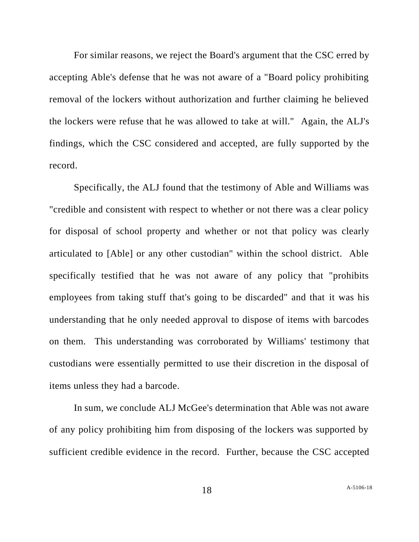For similar reasons, we reject the Board's argument that the CSC erred by accepting Able's defense that he was not aware of a "Board policy prohibiting removal of the lockers without authorization and further claiming he believed the lockers were refuse that he was allowed to take at will." Again, the ALJ's findings, which the CSC considered and accepted, are fully supported by the record.

Specifically, the ALJ found that the testimony of Able and Williams was "credible and consistent with respect to whether or not there was a clear policy for disposal of school property and whether or not that policy was clearly articulated to [Able] or any other custodian" within the school district. Able specifically testified that he was not aware of any policy that "prohibits employees from taking stuff that's going to be discarded" and that it was his understanding that he only needed approval to dispose of items with barcodes on them. This understanding was corroborated by Williams' testimony that custodians were essentially permitted to use their discretion in the disposal of items unless they had a barcode.

In sum, we conclude ALJ McGee's determination that Able was not aware of any policy prohibiting him from disposing of the lockers was supported by sufficient credible evidence in the record. Further, because the CSC accepted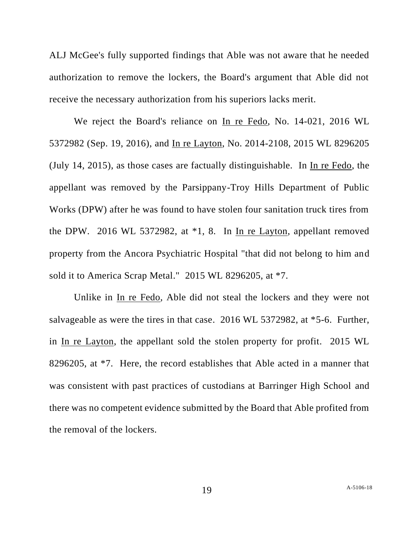ALJ McGee's fully supported findings that Able was not aware that he needed authorization to remove the lockers, the Board's argument that Able did not receive the necessary authorization from his superiors lacks merit.

We reject the Board's reliance on In re Fedo, No. 14-021, 2016 WL 5372982 (Sep. 19, 2016), and In re Layton, No. 2014-2108, 2015 WL 8296205 (July 14, 2015), as those cases are factually distinguishable. In In re Fedo, the appellant was removed by the Parsippany-Troy Hills Department of Public Works (DPW) after he was found to have stolen four sanitation truck tires from the DPW. 2016 WL 5372982, at \*1, 8. In In re Layton, appellant removed property from the Ancora Psychiatric Hospital "that did not belong to him and sold it to America Scrap Metal." 2015 WL 8296205, at \*7.

Unlike in In re Fedo, Able did not steal the lockers and they were not salvageable as were the tires in that case. 2016 WL 5372982, at \*5-6. Further, in In re Layton, the appellant sold the stolen property for profit. 2015 WL 8296205, at \*7. Here, the record establishes that Able acted in a manner that was consistent with past practices of custodians at Barringer High School and there was no competent evidence submitted by the Board that Able profited from the removal of the lockers.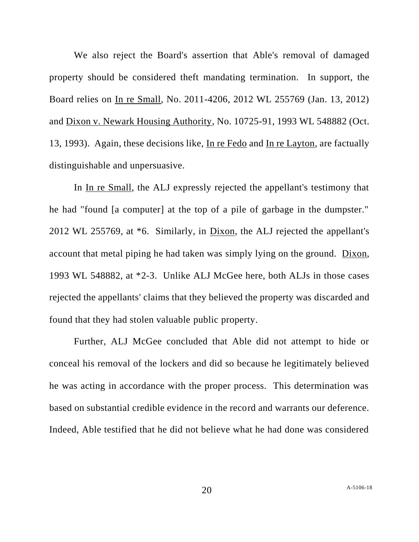We also reject the Board's assertion that Able's removal of damaged property should be considered theft mandating termination. In support, the Board relies on In re Small, No. 2011-4206, 2012 WL 255769 (Jan. 13, 2012) and Dixon v. Newark Housing Authority, No. 10725-91, 1993 WL 548882 (Oct. 13, 1993). Again, these decisions like, In re Fedo and In re Layton, are factually distinguishable and unpersuasive.

In In re Small, the ALJ expressly rejected the appellant's testimony that he had "found [a computer] at the top of a pile of garbage in the dumpster." 2012 WL 255769, at \*6. Similarly, in Dixon, the ALJ rejected the appellant's account that metal piping he had taken was simply lying on the ground. Dixon, 1993 WL 548882, at \*2-3. Unlike ALJ McGee here, both ALJs in those cases rejected the appellants' claims that they believed the property was discarded and found that they had stolen valuable public property.

Further, ALJ McGee concluded that Able did not attempt to hide or conceal his removal of the lockers and did so because he legitimately believed he was acting in accordance with the proper process. This determination was based on substantial credible evidence in the record and warrants our deference. Indeed, Able testified that he did not believe what he had done was considered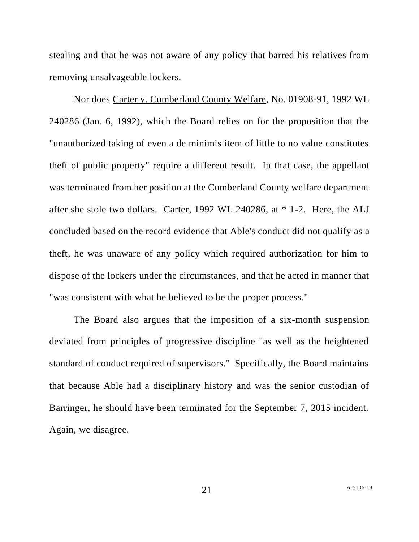stealing and that he was not aware of any policy that barred his relatives from removing unsalvageable lockers.

Nor does Carter v. Cumberland County Welfare, No. 01908-91, 1992 WL 240286 (Jan. 6, 1992), which the Board relies on for the proposition that the "unauthorized taking of even a de minimis item of little to no value constitutes theft of public property" require a different result. In that case, the appellant was terminated from her position at the Cumberland County welfare department after she stole two dollars. Carter, 1992 WL 240286, at \* 1-2. Here, the ALJ concluded based on the record evidence that Able's conduct did not qualify as a theft, he was unaware of any policy which required authorization for him to dispose of the lockers under the circumstances, and that he acted in manner that "was consistent with what he believed to be the proper process."

The Board also argues that the imposition of a six-month suspension deviated from principles of progressive discipline "as well as the heightened standard of conduct required of supervisors." Specifically, the Board maintains that because Able had a disciplinary history and was the senior custodian of Barringer, he should have been terminated for the September 7, 2015 incident. Again, we disagree.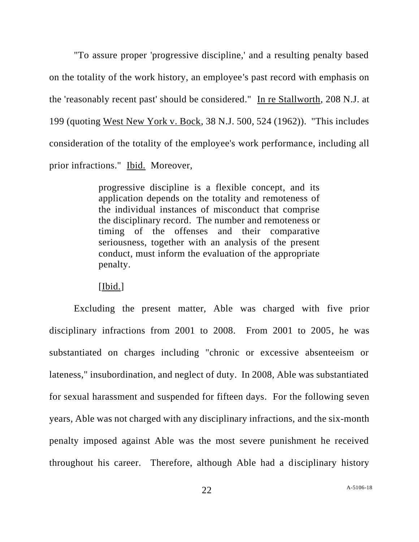"To assure proper 'progressive discipline,' and a resulting penalty based on the totality of the work history, an employee's past record with emphasis on the 'reasonably recent past' should be considered." In re Stallworth, 208 N.J. at 199 (quoting West New York v. Bock, 38 N.J. 500, 524 (1962)). "This includes consideration of the totality of the employee's work performance, including all prior infractions." Ibid. Moreover,

> progressive discipline is a flexible concept, and its application depends on the totality and remoteness of the individual instances of misconduct that comprise the disciplinary record. The number and remoteness or timing of the offenses and their comparative seriousness, together with an analysis of the present conduct, must inform the evaluation of the appropriate penalty.

[Ibid.]

Excluding the present matter, Able was charged with five prior disciplinary infractions from 2001 to 2008. From 2001 to 2005, he was substantiated on charges including "chronic or excessive absenteeism or lateness," insubordination, and neglect of duty. In 2008, Able was substantiated for sexual harassment and suspended for fifteen days. For the following seven years, Able was not charged with any disciplinary infractions, and the six-month penalty imposed against Able was the most severe punishment he received throughout his career. Therefore, although Able had a disciplinary history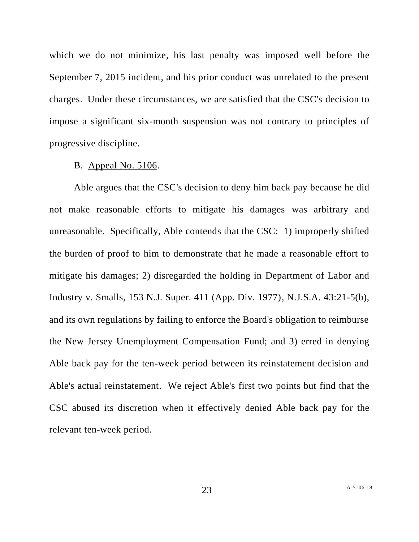which we do not minimize, his last penalty was imposed well before the September 7, 2015 incident, and his prior conduct was unrelated to the present charges. Under these circumstances, we are satisfied that the CSC's decision to impose a significant six-month suspension was not contrary to principles of progressive discipline.

#### B. Appeal No. 5106.

Able argues that the CSC's decision to deny him back pay because he did not make reasonable efforts to mitigate his damages was arbitrary and unreasonable. Specifically, Able contends that the CSC: 1) improperly shifted the burden of proof to him to demonstrate that he made a reasonable effort to mitigate his damages; 2) disregarded the holding in Department of Labor and Industry v. Smalls, 153 N.J. Super. 411 (App. Div. 1977), N.J.S.A. 43:21-5(b), and its own regulations by failing to enforce the Board's obligation to reimburse the New Jersey Unemployment Compensation Fund; and 3) erred in denying Able back pay for the ten-week period between its reinstatement decision and Able's actual reinstatement. We reject Able's first two points but find that the CSC abused its discretion when it effectively denied Able back pay for the relevant ten-week period.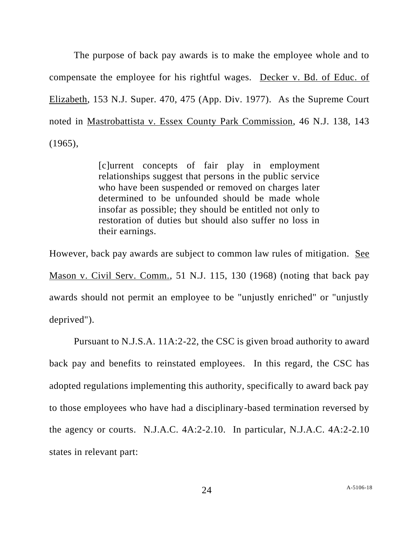The purpose of back pay awards is to make the employee whole and to compensate the employee for his rightful wages. Decker v. Bd. of Educ. of Elizabeth, 153 N.J. Super. 470, 475 (App. Div. 1977). As the Supreme Court noted in Mastrobattista v. Essex County Park Commission, 46 N.J. 138, 143 (1965),

> [c]urrent concepts of fair play in employment relationships suggest that persons in the public service who have been suspended or removed on charges later determined to be unfounded should be made whole insofar as possible; they should be entitled not only to restoration of duties but should also suffer no loss in their earnings.

However, back pay awards are subject to common law rules of mitigation. See Mason v. Civil Serv. Comm., 51 N.J. 115, 130 (1968) (noting that back pay awards should not permit an employee to be "unjustly enriched" or "unjustly deprived").

Pursuant to N.J.S.A. 11A:2-22, the CSC is given broad authority to award back pay and benefits to reinstated employees. In this regard, the CSC has adopted regulations implementing this authority, specifically to award back pay to those employees who have had a disciplinary-based termination reversed by the agency or courts. N.J.A.C. 4A:2-2.10. In particular, N.J.A.C. 4A:2-2.10 states in relevant part: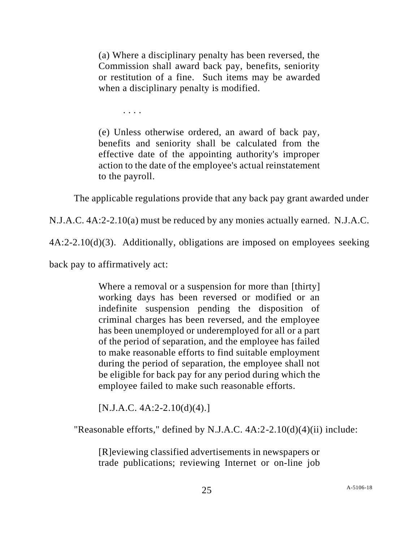(a) Where a disciplinary penalty has been reversed, the Commission shall award back pay, benefits, seniority or restitution of a fine. Such items may be awarded when a disciplinary penalty is modified.

. . . .

(e) Unless otherwise ordered, an award of back pay, benefits and seniority shall be calculated from the effective date of the appointing authority's improper action to the date of the employee's actual reinstatement to the payroll.

The applicable regulations provide that any back pay grant awarded under

N.J.A.C. 4A:2-2.10(a) must be reduced by any monies actually earned. N.J.A.C.

4A:2-2.10(d)(3). Additionally, obligations are imposed on employees seeking

back pay to affirmatively act:

Where a removal or a suspension for more than [thirty] working days has been reversed or modified or an indefinite suspension pending the disposition of criminal charges has been reversed, and the employee has been unemployed or underemployed for all or a part of the period of separation, and the employee has failed to make reasonable efforts to find suitable employment during the period of separation, the employee shall not be eligible for back pay for any period during which the employee failed to make such reasonable efforts.

 $[N.J.A.C. 4A:2-2.10(d)(4).]$ 

"Reasonable efforts," defined by N.J.A.C. 4A:2-2.10(d)(4)(ii) include:

[R]eviewing classified advertisements in newspapers or trade publications; reviewing Internet or on-line job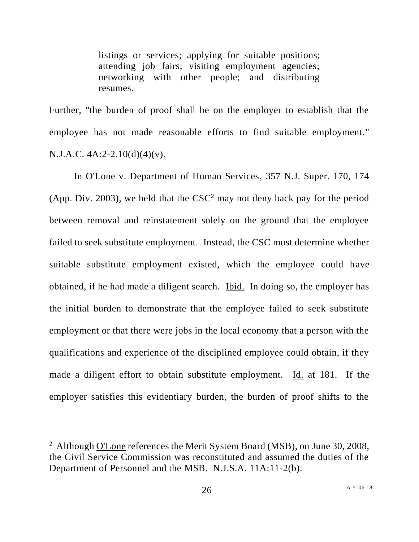listings or services; applying for suitable positions; attending job fairs; visiting employment agencies; networking with other people; and distributing resumes.

Further, "the burden of proof shall be on the employer to establish that the employee has not made reasonable efforts to find suitable employment." N.J.A.C. 4A:2-2.10(d)(4)(v).

In O'Lone v. Department of Human Services, 357 N.J. Super. 170, 174 (App. Div. 2003), we held that the  $CSC<sup>2</sup>$  may not deny back pay for the period between removal and reinstatement solely on the ground that the employee failed to seek substitute employment. Instead, the CSC must determine whether suitable substitute employment existed, which the employee could have obtained, if he had made a diligent search. Ibid. In doing so, the employer has the initial burden to demonstrate that the employee failed to seek substitute employment or that there were jobs in the local economy that a person with the qualifications and experience of the disciplined employee could obtain, if they made a diligent effort to obtain substitute employment. Id. at 181. If the employer satisfies this evidentiary burden, the burden of proof shifts to the

<sup>&</sup>lt;sup>2</sup> Although O'Lone references the Merit System Board (MSB), on June 30, 2008, the Civil Service Commission was reconstituted and assumed the duties of the Department of Personnel and the MSB. N.J.S.A. 11A:11-2(b).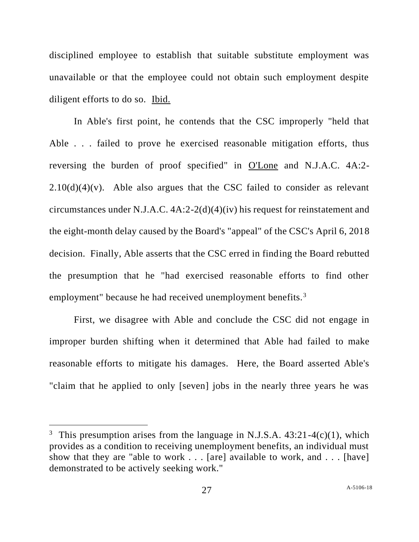disciplined employee to establish that suitable substitute employment was unavailable or that the employee could not obtain such employment despite diligent efforts to do so. Ibid.

In Able's first point, he contends that the CSC improperly "held that Able . . . failed to prove he exercised reasonable mitigation efforts, thus reversing the burden of proof specified" in O'Lone and N.J.A.C. 4A:2-  $2.10(d)(4)(v)$ . Able also argues that the CSC failed to consider as relevant circumstances under N.J.A.C. 4A:2-2(d)(4)(iv) his request for reinstatement and the eight-month delay caused by the Board's "appeal" of the CSC's April 6, 2018 decision. Finally, Able asserts that the CSC erred in finding the Board rebutted the presumption that he "had exercised reasonable efforts to find other employment" because he had received unemployment benefits.<sup>3</sup>

First, we disagree with Able and conclude the CSC did not engage in improper burden shifting when it determined that Able had failed to make reasonable efforts to mitigate his damages. Here, the Board asserted Able's "claim that he applied to only [seven] jobs in the nearly three years he was

<sup>&</sup>lt;sup>3</sup> This presumption arises from the language in N.J.S.A.  $43:21-4(c)(1)$ , which provides as a condition to receiving unemployment benefits, an individual must show that they are "able to work . . . [are] available to work, and . . . [have] demonstrated to be actively seeking work."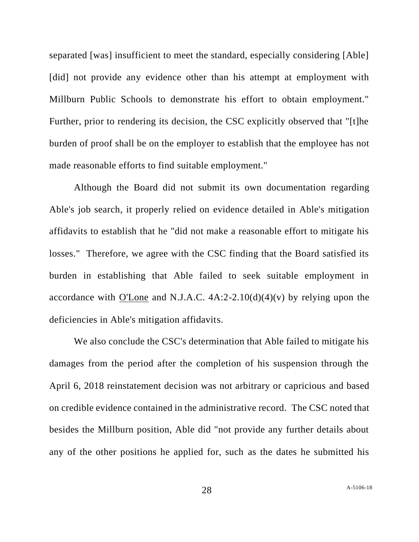separated [was] insufficient to meet the standard, especially considering [Able] [did] not provide any evidence other than his attempt at employment with Millburn Public Schools to demonstrate his effort to obtain employment." Further, prior to rendering its decision, the CSC explicitly observed that "[t]he burden of proof shall be on the employer to establish that the employee has not made reasonable efforts to find suitable employment."

Although the Board did not submit its own documentation regarding Able's job search, it properly relied on evidence detailed in Able's mitigation affidavits to establish that he "did not make a reasonable effort to mitigate his losses." Therefore, we agree with the CSC finding that the Board satisfied its burden in establishing that Able failed to seek suitable employment in accordance with O'Lone and N.J.A.C.  $4A:2-2.10(d)(4)(v)$  by relying upon the deficiencies in Able's mitigation affidavits.

We also conclude the CSC's determination that Able failed to mitigate his damages from the period after the completion of his suspension through the April 6, 2018 reinstatement decision was not arbitrary or capricious and based on credible evidence contained in the administrative record. The CSC noted that besides the Millburn position, Able did "not provide any further details about any of the other positions he applied for, such as the dates he submitted his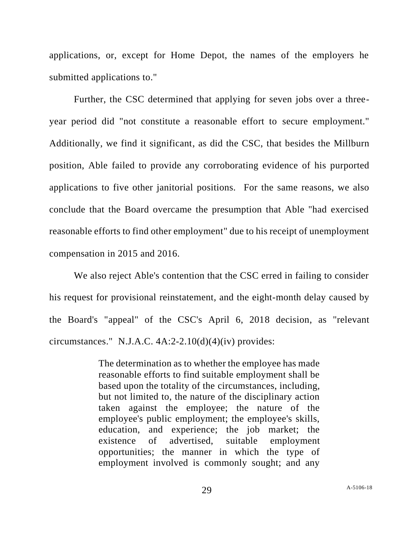applications, or, except for Home Depot, the names of the employers he submitted applications to."

Further, the CSC determined that applying for seven jobs over a threeyear period did "not constitute a reasonable effort to secure employment." Additionally, we find it significant, as did the CSC, that besides the Millburn position, Able failed to provide any corroborating evidence of his purported applications to five other janitorial positions. For the same reasons, we also conclude that the Board overcame the presumption that Able "had exercised reasonable efforts to find other employment" due to his receipt of unemployment compensation in 2015 and 2016.

We also reject Able's contention that the CSC erred in failing to consider his request for provisional reinstatement, and the eight-month delay caused by the Board's "appeal" of the CSC's April 6, 2018 decision, as "relevant circumstances." N.J.A.C.  $4A:2-2.10(d)(4)(iv)$  provides:

> The determination as to whether the employee has made reasonable efforts to find suitable employment shall be based upon the totality of the circumstances, including, but not limited to, the nature of the disciplinary action taken against the employee; the nature of the employee's public employment; the employee's skills, education, and experience; the job market; the existence of advertised, suitable employment opportunities; the manner in which the type of employment involved is commonly sought; and any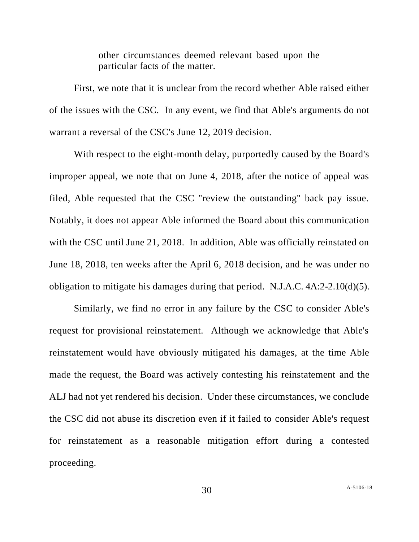other circumstances deemed relevant based upon the particular facts of the matter.

First, we note that it is unclear from the record whether Able raised either of the issues with the CSC. In any event, we find that Able's arguments do not warrant a reversal of the CSC's June 12, 2019 decision.

With respect to the eight-month delay, purportedly caused by the Board's improper appeal, we note that on June 4, 2018, after the notice of appeal was filed, Able requested that the CSC "review the outstanding" back pay issue. Notably, it does not appear Able informed the Board about this communication with the CSC until June 21, 2018. In addition, Able was officially reinstated on June 18, 2018, ten weeks after the April 6, 2018 decision, and he was under no obligation to mitigate his damages during that period. N.J.A.C. 4A:2-2.10(d)(5).

Similarly, we find no error in any failure by the CSC to consider Able's request for provisional reinstatement. Although we acknowledge that Able's reinstatement would have obviously mitigated his damages, at the time Able made the request, the Board was actively contesting his reinstatement and the ALJ had not yet rendered his decision. Under these circumstances, we conclude the CSC did not abuse its discretion even if it failed to consider Able's request for reinstatement as a reasonable mitigation effort during a contested proceeding.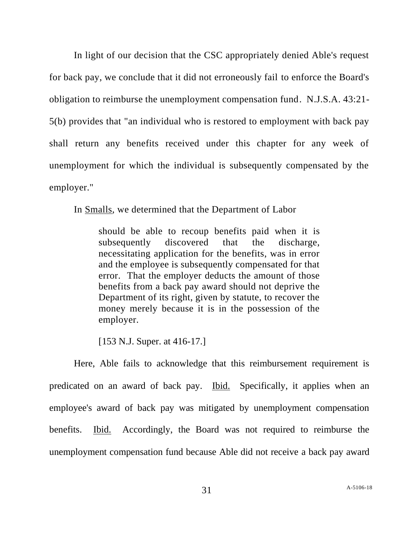In light of our decision that the CSC appropriately denied Able's request for back pay, we conclude that it did not erroneously fail to enforce the Board's obligation to reimburse the unemployment compensation fund. N.J.S.A. 43:21- 5(b) provides that "an individual who is restored to employment with back pay shall return any benefits received under this chapter for any week of unemployment for which the individual is subsequently compensated by the employer."

In Smalls, we determined that the Department of Labor

should be able to recoup benefits paid when it is subsequently discovered that the discharge, necessitating application for the benefits, was in error and the employee is subsequently compensated for that error. That the employer deducts the amount of those benefits from a back pay award should not deprive the Department of its right, given by statute, to recover the money merely because it is in the possession of the employer.

[153 N.J. Super. at 416-17.]

Here, Able fails to acknowledge that this reimbursement requirement is predicated on an award of back pay. Ibid. Specifically, it applies when an employee's award of back pay was mitigated by unemployment compensation benefits. Ibid. Accordingly, the Board was not required to reimburse the unemployment compensation fund because Able did not receive a back pay award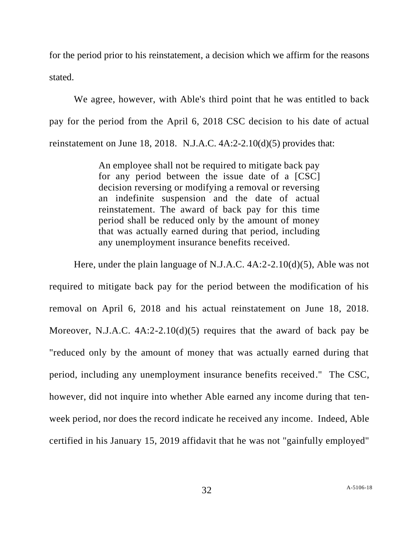for the period prior to his reinstatement, a decision which we affirm for the reasons stated.

We agree, however, with Able's third point that he was entitled to back pay for the period from the April 6, 2018 CSC decision to his date of actual reinstatement on June 18, 2018. N.J.A.C. 4A:2-2.10(d)(5) provides that:

> An employee shall not be required to mitigate back pay for any period between the issue date of a [CSC] decision reversing or modifying a removal or reversing an indefinite suspension and the date of actual reinstatement. The award of back pay for this time period shall be reduced only by the amount of money that was actually earned during that period, including any unemployment insurance benefits received.

Here, under the plain language of N.J.A.C. 4A:2-2.10(d)(5), Able was not required to mitigate back pay for the period between the modification of his removal on April 6, 2018 and his actual reinstatement on June 18, 2018. Moreover, N.J.A.C. 4A:2-2.10(d)(5) requires that the award of back pay be "reduced only by the amount of money that was actually earned during that period, including any unemployment insurance benefits received." The CSC, however, did not inquire into whether Able earned any income during that tenweek period, nor does the record indicate he received any income. Indeed, Able certified in his January 15, 2019 affidavit that he was not "gainfully employed"